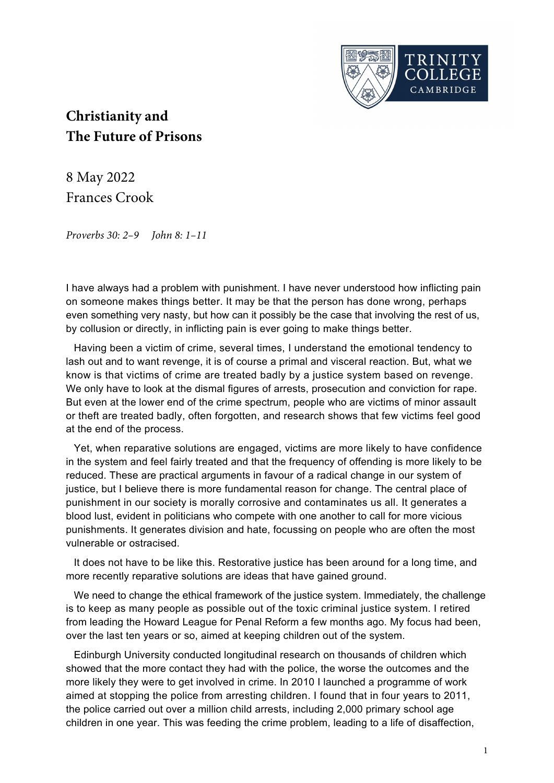

## **Christianity and The Future of Prisons**

8 May 2022 Frances Crook

Proverbs 30: 2–9 John 8: 1–11

I have always had a problem with punishment. I have never understood how inflicting pain on someone makes things better. It may be that the person has done wrong, perhaps even something very nasty, but how can it possibly be the case that involving the rest of us, by collusion or directly, in inflicting pain is ever going to make things better.

Having been a victim of crime, several times, I understand the emotional tendency to lash out and to want revenge, it is of course a primal and visceral reaction. But, what we know is that victims of crime are treated badly by a justice system based on revenge. We only have to look at the dismal figures of arrests, prosecution and conviction for rape. But even at the lower end of the crime spectrum, people who are victims of minor assault or theft are treated badly, often forgotten, and research shows that few victims feel good at the end of the process.

Yet, when reparative solutions are engaged, victims are more likely to have confidence in the system and feel fairly treated and that the frequency of offending is more likely to be reduced. These are practical arguments in favour of a radical change in our system of justice, but I believe there is more fundamental reason for change. The central place of punishment in our society is morally corrosive and contaminates us all. It generates a blood lust, evident in politicians who compete with one another to call for more vicious punishments. It generates division and hate, focussing on people who are often the most vulnerable or ostracised.

It does not have to be like this. Restorative justice has been around for a long time, and more recently reparative solutions are ideas that have gained ground.

We need to change the ethical framework of the justice system. Immediately, the challenge is to keep as many people as possible out of the toxic criminal justice system. I retired from leading the Howard League for Penal Reform a few months ago. My focus had been, over the last ten years or so, aimed at keeping children out of the system.

Edinburgh University conducted longitudinal research on thousands of children which showed that the more contact they had with the police, the worse the outcomes and the more likely they were to get involved in crime. In 2010 I launched a programme of work aimed at stopping the police from arresting children. I found that in four years to 2011, the police carried out over a million child arrests, including 2,000 primary school age children in one year. This was feeding the crime problem, leading to a life of disaffection,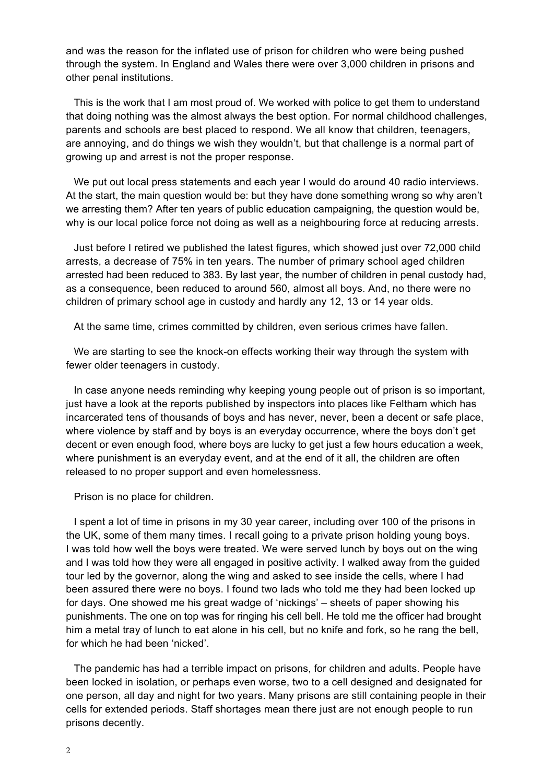and was the reason for the inflated use of prison for children who were being pushed through the system. In England and Wales there were over 3,000 children in prisons and other penal institutions.

This is the work that I am most proud of. We worked with police to get them to understand that doing nothing was the almost always the best option. For normal childhood challenges, parents and schools are best placed to respond. We all know that children, teenagers, are annoying, and do things we wish they wouldn't, but that challenge is a normal part of growing up and arrest is not the proper response.

We put out local press statements and each year I would do around 40 radio interviews. At the start, the main question would be: but they have done something wrong so why aren't we arresting them? After ten years of public education campaigning, the question would be, why is our local police force not doing as well as a neighbouring force at reducing arrests.

Just before I retired we published the latest figures, which showed just over 72,000 child arrests, a decrease of 75% in ten years. The number of primary school aged children arrested had been reduced to 383. By last year, the number of children in penal custody had, as a consequence, been reduced to around 560, almost all boys. And, no there were no children of primary school age in custody and hardly any 12, 13 or 14 year olds.

At the same time, crimes committed by children, even serious crimes have fallen.

We are starting to see the knock-on effects working their way through the system with fewer older teenagers in custody.

In case anyone needs reminding why keeping young people out of prison is so important, just have a look at the reports published by inspectors into places like Feltham which has incarcerated tens of thousands of boys and has never, never, been a decent or safe place, where violence by staff and by boys is an everyday occurrence, where the boys don't get decent or even enough food, where boys are lucky to get just a few hours education a week, where punishment is an everyday event, and at the end of it all, the children are often released to no proper support and even homelessness.

Prison is no place for children.

I spent a lot of time in prisons in my 30 year career, including over 100 of the prisons in the UK, some of them many times. I recall going to a private prison holding young boys. I was told how well the boys were treated. We were served lunch by boys out on the wing and I was told how they were all engaged in positive activity. I walked away from the guided tour led by the governor, along the wing and asked to see inside the cells, where I had been assured there were no boys. I found two lads who told me they had been locked up for days. One showed me his great wadge of 'nickings' – sheets of paper showing his punishments. The one on top was for ringing his cell bell. He told me the officer had brought him a metal tray of lunch to eat alone in his cell, but no knife and fork, so he rang the bell, for which he had been 'nicked'.

The pandemic has had a terrible impact on prisons, for children and adults. People have been locked in isolation, or perhaps even worse, two to a cell designed and designated for one person, all day and night for two years. Many prisons are still containing people in their cells for extended periods. Staff shortages mean there just are not enough people to run prisons decently.